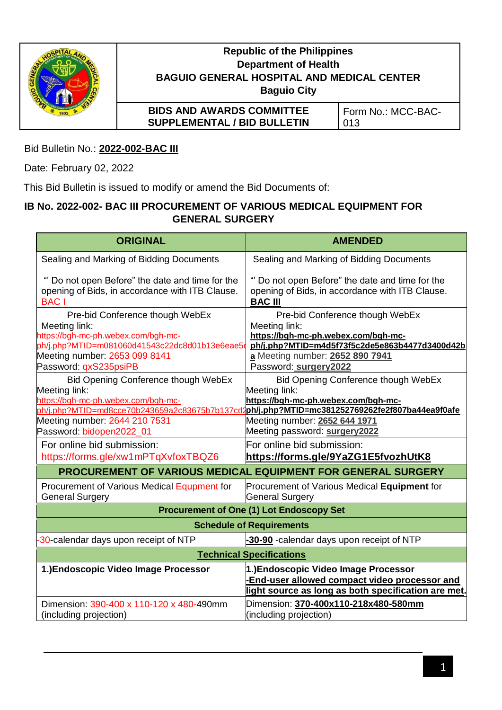

# **Republic of the Philippines Department of Health BAGUIO GENERAL HOSPITAL AND MEDICAL CENTER Baguio City**

**BIDS AND AWARDS COMMITTEE SUPPLEMENTAL / BID BULLETIN** 

Form No.: MCC-BAC-013

Bid Bulletin No.: **2022-002-BAC III**

Date: February 02, 2022

This Bid Bulletin is issued to modify or amend the Bid Documents of:

## **IB No. 2022-002- BAC III PROCUREMENT OF VARIOUS MEDICAL EQUIPMENT FOR GENERAL SURGERY**

| <b>ORIGINAL</b>                                                                                                                                                                                     | <b>AMENDED</b>                                                                                                                                                                                                                                                 |
|-----------------------------------------------------------------------------------------------------------------------------------------------------------------------------------------------------|----------------------------------------------------------------------------------------------------------------------------------------------------------------------------------------------------------------------------------------------------------------|
| Sealing and Marking of Bidding Documents                                                                                                                                                            | Sealing and Marking of Bidding Documents                                                                                                                                                                                                                       |
| Do not open Before" the date and time for the<br>opening of Bids, in accordance with ITB Clause.<br><b>BAC</b> I                                                                                    | "" Do not open Before" the date and time for the<br>opening of Bids, in accordance with ITB Clause.<br><b>BAC III</b>                                                                                                                                          |
| Pre-bid Conference though WebEx<br>Meeting link:<br>https://bgh-mc-ph.webex.com/bgh-mc-<br>ph/j.php?MTID=m081060d41543c22dc8d01b13e6eae5d<br>Meeting number: 2653 099 8141<br>Password: qxS235psiPB | Pre-bid Conference though WebEx<br>Meeting link:<br>https://bgh-mc-ph.webex.com/bgh-mc-<br>ph/j.php?MTID=m4d5f73f5c2de5e863b4477d3400d42b<br>a Meeting number: 2652 890 7941<br>Password: surgery2022                                                          |
| <b>Bid Opening Conference though WebEx</b><br>Meeting link:<br>https://bgh-mc-ph.webex.com/bgh-mc-<br>Meeting number: 2644 210 7531<br>Password: bidopen2022_01                                     | Bid Opening Conference though WebEx<br>Meeting link:<br>https://bgh-mc-ph.webex.com/bgh-mc-<br>ph/j.php?MTID=md8cce70b243659a2c83675b7b137cd2ph/j.php?MTID=mc381252769262fe2f807ba44ea9f0afe<br>Meeting number: 2652 644 1971<br>Meeting password: surgery2022 |
| For online bid submission:<br>https://forms.gle/xw1mPTqXvfoxTBQZ6                                                                                                                                   | For online bid submission:<br>https://forms.gle/9YaZG1E5fvozhUtK8                                                                                                                                                                                              |
|                                                                                                                                                                                                     | PROCUREMENT OF VARIOUS MEDICAL EQUIPMENT FOR GENERAL SURGERY                                                                                                                                                                                                   |
| Procurement of Various Medical Equpment for<br><b>General Surgery</b>                                                                                                                               | Procurement of Various Medical Equipment for<br><b>General Surgery</b>                                                                                                                                                                                         |
| <b>Procurement of One (1) Lot Endoscopy Set</b>                                                                                                                                                     |                                                                                                                                                                                                                                                                |
| <b>Schedule of Requirements</b>                                                                                                                                                                     |                                                                                                                                                                                                                                                                |
| 30-calendar days upon receipt of NTP                                                                                                                                                                | -30-90 -calendar days upon receipt of NTP                                                                                                                                                                                                                      |
| <b>Technical Specifications</b>                                                                                                                                                                     |                                                                                                                                                                                                                                                                |
| 1.) Endoscopic Video Image Processor                                                                                                                                                                | 1.) Endoscopic Video Image Processor<br>End-user allowed compact video processor and<br>light source as long as both specification are met.                                                                                                                    |
| Dimension: 390-400 x 110-120 x 480-490mm<br>(including projection)                                                                                                                                  | Dimension: 370-400x110-218x480-580mm<br>(including projection)                                                                                                                                                                                                 |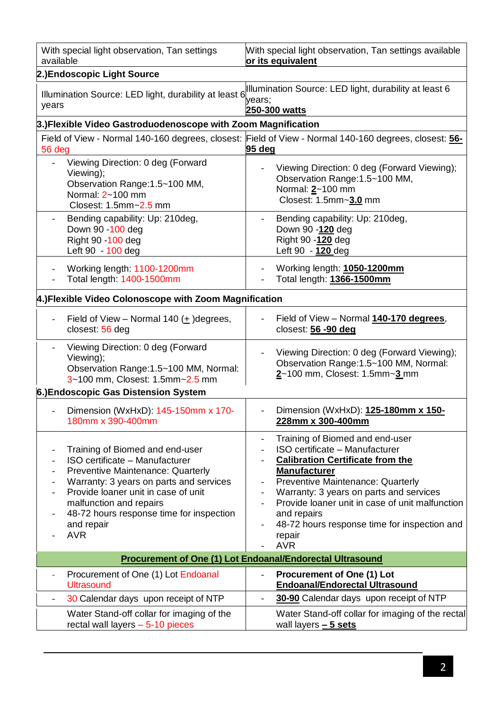| With special light observation, Tan settings                                                                                  | With special light observation, Tan settings available                                                                     |  |
|-------------------------------------------------------------------------------------------------------------------------------|----------------------------------------------------------------------------------------------------------------------------|--|
| available                                                                                                                     | or its equivalent                                                                                                          |  |
| 2.)Endoscopic Light Source                                                                                                    | Illumination Source: LED light, durability at least 6                                                                      |  |
| Illumination Source: LED light, durability at least 6                                                                         | years;                                                                                                                     |  |
| years                                                                                                                         | 250-300 watts                                                                                                              |  |
| 3.) Flexible Video Gastroduodenoscope with Zoom Magnification                                                                 |                                                                                                                            |  |
| 56 deg                                                                                                                        | Field of View - Normal 140-160 degrees, closest: Field of View - Normal 140-160 degrees, closest: 56-<br>95 deg            |  |
| Viewing Direction: 0 deg (Forward<br>Viewing);<br>Observation Range: 1.5~100 MM,<br>Normal: 2~100 mm<br>Closest: 1.5mm~2.5 mm | Viewing Direction: 0 deg (Forward Viewing);<br>Observation Range: 1.5~100 MM,<br>Normal: 2~100 mm<br>Closest: 1.5mm~3.0 mm |  |
| Bending capability: Up: 210deg,                                                                                               | Bending capability: Up: 210deg,                                                                                            |  |
| Down 90 - 100 deg                                                                                                             | Down 90 -120 deg                                                                                                           |  |
| Right 90 - 100 deg                                                                                                            | Right 90 -120 deg                                                                                                          |  |
| Left 90 - 100 deg                                                                                                             | Left 90 - 120 deg                                                                                                          |  |
| Working length: 1100-1200mm                                                                                                   | Working length: 1050-1200mm                                                                                                |  |
| Total length: 1400-1500mm                                                                                                     | Total length: 1366-1500mm                                                                                                  |  |
| 4.) Flexible Video Colonoscope with Zoom Magnification                                                                        |                                                                                                                            |  |
| Field of View – Normal 140 $($ <sup>+</sup> $)$ degrees,                                                                      | Field of View - Normal 140-170 degrees,                                                                                    |  |
| closest 56 deg                                                                                                                | closest: 56 -90 deg                                                                                                        |  |
| Viewing Direction: 0 deg (Forward<br>Viewing);<br>Observation Range: 1.5~100 MM, Normal:<br>3~100 mm, Closest: 1.5mm~2.5 mm   | Viewing Direction: 0 deg (Forward Viewing);<br>Observation Range: 1.5~100 MM, Normal:<br>2~100 mm, Closest: 1.5mm~3 mm     |  |
| 6.) Endoscopic Gas Distension System                                                                                          |                                                                                                                            |  |
| Dimension (WxHxD): 145-150mm x 170-                                                                                           | Dimension (WxHxD): 125-180mm x 150-                                                                                        |  |
| 180mm x 390-400mm                                                                                                             | 228mm x 300-400mm                                                                                                          |  |
| Training of Biomed and end-user                                                                                               | Training of Biomed and end-user                                                                                            |  |
| ISO certificate - Manufacturer                                                                                                | ISO certificate - Manufacturer                                                                                             |  |
| <b>Preventive Maintenance: Quarterly</b>                                                                                      | <b>Calibration Certificate from the</b>                                                                                    |  |
| $\qquad \qquad -$                                                                                                             | <b>Manufacturer</b>                                                                                                        |  |
| Warranty: 3 years on parts and services                                                                                       | <b>Preventive Maintenance: Quarterly</b>                                                                                   |  |
| $\overline{\phantom{0}}$                                                                                                      | Warranty: 3 years on parts and services                                                                                    |  |
| Provide loaner unit in case of unit                                                                                           | Provide loaner unit in case of unit malfunction                                                                            |  |
| malfunction and repairs                                                                                                       | and repairs                                                                                                                |  |
| 48-72 hours response time for inspection                                                                                      | 48-72 hours response time for inspection and                                                                               |  |
| $\overline{\phantom{0}}$                                                                                                      | $\overline{\phantom{a}}$                                                                                                   |  |
| and repair                                                                                                                    | repair                                                                                                                     |  |
| <b>AVR</b>                                                                                                                    | <b>AVR</b>                                                                                                                 |  |
| <b>Procurement of One (1) Lot Endoanal/Endorectal Ultrasound</b>                                                              |                                                                                                                            |  |
| Procurement of One (1) Lot Endoanal<br><b>Ultrasound</b>                                                                      | <b>Procurement of One (1) Lot</b><br>$\overline{\phantom{a}}$<br><b>Endoanal/Endorectal Ultrasound</b>                     |  |
| 30 Calendar days upon receipt of NTP                                                                                          | 30-90 Calendar days upon receipt of NTP                                                                                    |  |
| $\overline{\phantom{0}}$                                                                                                      | $\overline{\phantom{a}}$                                                                                                   |  |
| Water Stand-off collar for imaging of the                                                                                     | Water Stand-off collar for imaging of the rectal                                                                           |  |
| rectal wall layers $-5-10$ pieces                                                                                             | wall layers $-5$ sets                                                                                                      |  |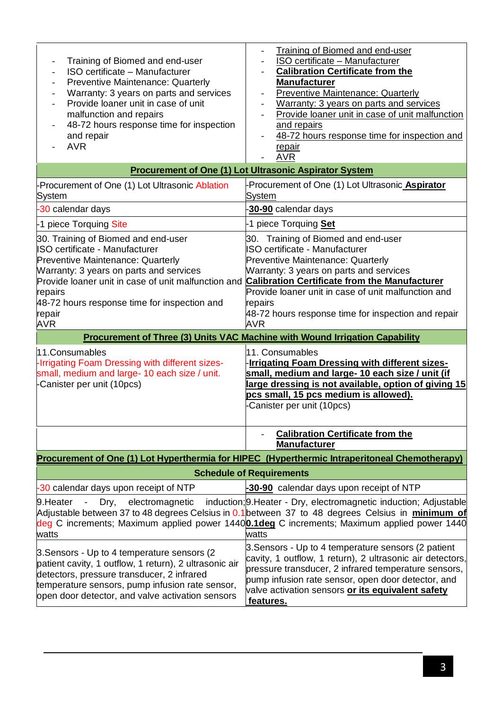| Training of Biomed and end-user<br>ISO certificate - Manufacturer<br>Preventive Maintenance: Quarterly<br>Warranty: 3 years on parts and services<br>Provide loaner unit in case of unit<br>malfunction and repairs<br>48-72 hours response time for inspection<br>and repair<br><b>AVR</b>            | Training of Biomed and end-user<br>ISO certificate - Manufacturer<br><b>Calibration Certificate from the</b><br><b>Manufacturer</b><br><b>Preventive Maintenance: Quarterly</b><br>Warranty: 3 years on parts and services<br>Provide loaner unit in case of unit malfunction<br>and repairs<br>48-72 hours response time for inspection and<br>$\overline{\phantom{a}}$<br><u>repair</u><br><b>AVR</b> |  |
|--------------------------------------------------------------------------------------------------------------------------------------------------------------------------------------------------------------------------------------------------------------------------------------------------------|---------------------------------------------------------------------------------------------------------------------------------------------------------------------------------------------------------------------------------------------------------------------------------------------------------------------------------------------------------------------------------------------------------|--|
| <b>Procurement of One (1) Lot Ultrasonic Aspirator System</b>                                                                                                                                                                                                                                          |                                                                                                                                                                                                                                                                                                                                                                                                         |  |
| Procurement of One (1) Lot Ultrasonic Ablation<br><b>System</b>                                                                                                                                                                                                                                        | Procurement of One (1) Lot Ultrasonic Aspirator<br><b>System</b>                                                                                                                                                                                                                                                                                                                                        |  |
| -30 calendar days                                                                                                                                                                                                                                                                                      | 30-90 calendar days                                                                                                                                                                                                                                                                                                                                                                                     |  |
| -1 piece Torquing Site                                                                                                                                                                                                                                                                                 | 1 piece Torquing Set                                                                                                                                                                                                                                                                                                                                                                                    |  |
| 30. Training of Biomed and end-user<br>ISO certificate - Manufacturer<br><b>Preventive Maintenance: Quarterly</b><br>Warranty: 3 years on parts and services<br>Provide loaner unit in case of unit malfunction and<br>repairs<br>48-72 hours response time for inspection and<br>repair<br><b>AVR</b> | 30. Training of Biomed and end-user<br>SO certificate - Manufacturer<br><b>Preventive Maintenance: Quarterly</b><br>Warranty: 3 years on parts and services<br><b>Calibration Certificate from the Manufacturer</b><br>Provide loaner unit in case of unit malfunction and<br>repairs<br>48-72 hours response time for inspection and repair<br><b>AVR</b>                                              |  |
|                                                                                                                                                                                                                                                                                                        | <b>Procurement of Three (3) Units VAC Machine with Wound Irrigation Capability</b>                                                                                                                                                                                                                                                                                                                      |  |
| 11.Consumables<br>Irrigating Foam Dressing with different sizes-<br>small, medium and large- 10 each size / unit.<br>Canister per unit (10pcs)                                                                                                                                                         | 11. Consumables<br><b>Irrigating Foam Dressing with different sizes-</b><br>small, medium and large- 10 each size / unit (if<br>large dressing is not available, option of giving 15<br>pcs small, 15 pcs medium is allowed).<br>Canister per unit (10pcs)                                                                                                                                              |  |
|                                                                                                                                                                                                                                                                                                        | <b>Calibration Certificate from the</b><br><b>Manufacturer</b>                                                                                                                                                                                                                                                                                                                                          |  |
|                                                                                                                                                                                                                                                                                                        | Procurement of One (1) Lot Hyperthermia for HIPEC (Hyperthermic Intraperitoneal Chemotherapy)                                                                                                                                                                                                                                                                                                           |  |
|                                                                                                                                                                                                                                                                                                        | <b>Schedule of Requirements</b>                                                                                                                                                                                                                                                                                                                                                                         |  |
| -30 calendar days upon receipt of NTP                                                                                                                                                                                                                                                                  | -30-90 calendar days upon receipt of NTP                                                                                                                                                                                                                                                                                                                                                                |  |
| Dry, electromagnetic<br>9.Heater<br>$\blacksquare$<br>watts                                                                                                                                                                                                                                            | induction; <b>9. Heater</b> - Dry, electromagnetic induction; Adjustable<br>Adjustable between 37 to 48 degrees Celsius in 0.1 between 37 to 48 degrees Celsius in <i>minimum of</i><br>deg C increments; Maximum applied power 14400.1deg C increments; Maximum applied power 1440<br>watts                                                                                                            |  |
| 3. Sensors - Up to 4 temperature sensors (2)<br>patient cavity, 1 outflow, 1 return), 2 ultrasonic air<br>detectors, pressure transducer, 2 infrared<br>temperature sensors, pump infusion rate sensor,<br>open door detector, and valve activation sensors                                            | 3. Sensors - Up to 4 temperature sensors (2 patient<br>cavity, 1 outflow, 1 return), 2 ultrasonic air detectors,<br>pressure transducer, 2 infrared temperature sensors,<br>pump infusion rate sensor, open door detector, and<br>valve activation sensors or its equivalent safety<br>features.                                                                                                        |  |